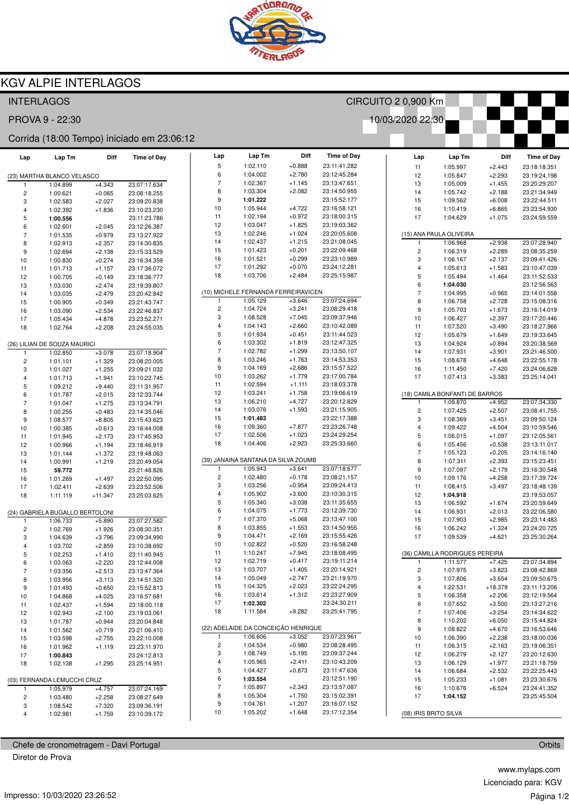

## **KGV ALPIE INTERLAGOS**

| <b>INTERLAGOS</b>                   |                                            |           |                    |  | CIRCUITO 2 0,900 Km |                                     |                      |                                    |  |                         |                                |                      |                              |
|-------------------------------------|--------------------------------------------|-----------|--------------------|--|---------------------|-------------------------------------|----------------------|------------------------------------|--|-------------------------|--------------------------------|----------------------|------------------------------|
| 10/03/2020 22:30<br>PROVA 9 - 22:30 |                                            |           |                    |  |                     |                                     |                      |                                    |  |                         |                                |                      |                              |
|                                     | Corrida (18:00 Tempo) iniciado em 23:06:12 |           |                    |  |                     |                                     |                      |                                    |  |                         |                                |                      |                              |
| Lap                                 | Lap Tm                                     | Diff      | <b>Time of Day</b> |  | Lap<br>5            | Lap Tm<br>1:02.110                  | Diff<br>$+0.888$     | <b>Time of Day</b><br>23:11:41.282 |  | Lap                     | Lap Tm                         | Diff                 | <b>Time of Day</b>           |
|                                     | (23) MARTHA BLANCO VELASCO                 |           |                    |  | 6                   | 1:04.002                            | $+2.780$             | 23:12:45.284                       |  | 11<br>12                | 1:05.997<br>1:05.847           | $+2.443$<br>$+2.293$ | 23:18:18.351<br>23:19:24.198 |
| -1                                  | 1:04.899                                   | $+4.343$  | 23:07:17.634       |  | $\overline{7}$      | 1:02.367                            | $+1.145$             | 23:13:47.651                       |  | 13                      | 1:05.009                       | $+1.455$             | 23:20:29.207                 |
| 2                                   | 1:00.621                                   | $+0.065$  | 23:08:18.255       |  | 8                   | 1:03.304                            | $+2.082$             | 23:14:50.955                       |  | 14                      | 1:05.742                       | $+2.188$             | 23:21:34.949                 |
| 3                                   | 1:02.583                                   | $+2.027$  | 23:09:20.838       |  | 9                   | 1:01.222                            |                      | 23:15:52.177                       |  | 15                      | 1:09.562                       | $+6.008$             | 23:22:44.511                 |
| 4                                   | 1:02.392                                   | $+1.836$  | 23:10:23.230       |  | 10                  | 1:05.944                            | $+4.722$             | 23:16:58.121                       |  | 16                      | 1:10.419                       | $+6.865$             | 23:23:54.930                 |
| 5                                   | 1:00.556                                   |           | 23:11:23.786       |  | 11                  | 1:02.194                            | $+0.972$             | 23:18:00.315                       |  | 17                      | 1:04.629                       | $+1.075$             | 23:24:59.559                 |
| 6                                   | 1:02.601                                   | $+2.045$  | 23:12:26.387       |  | 12                  | 1:03.047                            | $+1.825$             | 23:19:03.362                       |  |                         |                                |                      |                              |
| $\overline{7}$                      | 1:01.535                                   | $+0.979$  | 23:13:27.922       |  | 13                  | 1:02.246                            | $+1.024$             | 23:20:05.608                       |  |                         | (15) ANA PAULA OLIVEIRA        |                      |                              |
| 8                                   | 1:02.913                                   | $+2.357$  | 23:14:30.835       |  | 14                  | 1:02.437                            | $+1.215$             | 23:21:08.045                       |  | -1                      | 1:06.968                       | $+2.938$             | 23:07:28.940                 |
| 9                                   | 1:02.694                                   | $+2.138$  | 23:15:33.529       |  | 15                  | 1:01.423                            | $+0.201$             | 23:22:09.468                       |  | $\overline{\mathbf{c}}$ | 1:06.319                       | $+2.289$             | 23:08:35.259                 |
| 10                                  | 1:00.830                                   | $+0.274$  | 23:16:34.359       |  | 16                  | 1:01.521                            | $+0.299$             | 23:23:10.989                       |  | 3                       | 1:06.167                       | $+2.137$             | 23:09:41.426                 |
| 11                                  | 1:01.713                                   | $+1.157$  | 23:17:36.072       |  | 17                  | 1:01.292                            | $+0.070$             | 23:24:12.281                       |  | $\overline{\mathbf{4}}$ | 1:05.613                       | $+1.583$             | 23:10:47.039                 |
| 12                                  | 1:00.705                                   | $+0.149$  | 23:18:36.777       |  | 18                  | 1:03.706                            | $+2.484$             | 23:25:15.987                       |  | 5                       | 1:05.494                       | $+1.464$             | 23:11:52.533                 |
| 13                                  | 1:03.030                                   | $+2.474$  | 23:19:39.807       |  |                     |                                     |                      |                                    |  | 6                       | 1:04.030                       |                      | 23:12:56.563                 |
| 14                                  | 1:03.035                                   | $+2.479$  | 23:20:42.842       |  |                     | (10) MICHELE FERNANDA FERREIRAVICEN |                      |                                    |  | $\overline{7}$          | 1:04.995                       | $+0.965$             | 23:14:01.558                 |
| 15                                  | 1:00.905                                   | $+0.349$  | 23:21:43.747       |  | -1                  | 1:05.129                            | $+3.646$             | 23:07:24.694                       |  | 8                       | 1:06.758                       | $+2.728$             | 23:15:08.316                 |
| 16                                  | 1:03.090                                   | $+2.534$  | 23:22:46.837       |  | $\overline{c}$      | 1:04.724                            | $+3.241$             | 23:08:29.418                       |  | $\boldsymbol{9}$        | 1:05.703                       | $+1.673$             | 23:16:14.019                 |
| 17                                  | 1:05.434                                   | $+4.878$  | 23:23:52.271       |  | 3                   | 1:08.528                            | $+7.045$             | 23:09:37.946                       |  | 10                      | 1:06.427                       | $+2.397$             | 23:17:20.446                 |
| 18                                  | 1:02.764                                   | $+2.208$  | 23:24:55.035       |  | $\overline{4}$      | 1:04.143                            | $+2.660$             | 23:10:42.089                       |  | 11                      | 1:07.520                       | $+3.490$             | 23:18:27.966                 |
|                                     |                                            |           |                    |  | 5                   | 1:01.934                            | $+0.451$             | 23:11:44.023                       |  | 12                      | 1:05.679                       | $+1.649$             | 23:19:33.645                 |
|                                     | (26) LILIAN DE SOUZA MAURICI               |           |                    |  | 6                   | 1:03.302                            | $+1.819$             | 23:12:47.325                       |  | 13                      | 1:04.924                       | $+0.894$             | 23:20:38.569                 |
| $\mathbf{1}$                        | 1:02.850                                   | $+3.078$  | 23:07:18.904       |  | $\overline{7}$      | 1:02.782                            | $+1.299$             | 23:13:50.107                       |  | 14                      | 1:07.931                       | $+3.901$             | 23:21:46.500                 |
| 2                                   | 1:01.101                                   | $+1.329$  | 23:08:20.005       |  | 8                   | 1:03.246                            | $+1.763$             | 23:14:53.353                       |  | 15                      | 1:08.678                       | $+4.648$             | 23:22:55.178                 |
| 3                                   | 1:01.027                                   | $+1.255$  | 23:09:21.032       |  | 9                   | 1:04.169                            | $+2.686$             | 23:15:57.522                       |  | 16                      | 1:11.450                       | $+7.420$             | 23:24:06.628                 |
| 4                                   | 1:01.713                                   | $+1.941$  | 23:10:22.745       |  | 10                  | 1:03.262                            | $+1.779$             | 23:17:00.784                       |  | 17                      | 1:07.413                       | $+3.383$             | 23:25:14.041                 |
| 5                                   | 1:09.212                                   | $+9.440$  | 23:11:31.957       |  | 11                  | 1:02.594                            | $+1.111$             | 23:18:03.378                       |  |                         |                                |                      |                              |
| 6                                   | 1:01.787                                   | $+2.015$  | 23:12:33.744       |  | 12                  | 1:03.241                            | $+1.758$             | 23:19:06.619                       |  |                         | (18) CAMILA BONFANTI DE BARROS |                      |                              |
| $\overline{7}$                      | 1:01.047                                   | $+1.275$  | 23:13:34.791       |  | 13                  | 1:06.210                            | $+4.727$             | 23:20:12.829                       |  | 1                       | 1:09.870                       | $+4.952$             | 23:07:34.330                 |
| 8                                   | 1:00.255                                   | $+0.483$  | 23:14:35.046       |  | 14                  | 1:03.076                            | $+1.593$             | 23:21:15.905                       |  | $\overline{\mathbf{c}}$ | 1:07.425                       | $+2.507$             | 23:08:41.755                 |
| 9                                   | 1:08.577                                   | $+8.805$  | 23:15:43.623       |  | 15                  | 1:01.483                            |                      | 23:22:17.388                       |  | 3                       | 1:08.369                       | $+3.451$             | 23:09:50.124                 |
| 10                                  | 1:00.385                                   | $+0.613$  | 23:16:44.008       |  | 16                  | 1:09.360                            | $+7.877$             | 23:23:26.748                       |  | $\overline{\mathbf{4}}$ | 1:09.422                       | $+4.504$             | 23:10:59.546                 |
| 11                                  | 1:01.945                                   | $+2.173$  | 23:17:45.953       |  | 17                  | 1:02.506                            | $+1.023$             | 23:24:29.254                       |  | 5                       | 1:06.015                       | $+1.097$             | 23:12:05.561                 |
| 12                                  | 1:00.966                                   | $+1.194$  | 23:18:46.919       |  | 18                  | 1:04.406                            | $+2.923$             | 23:25:33.660                       |  | 6                       | 1:05.456                       | $+0.538$             | 23:13:11.017                 |
| 13                                  | 1:01.144                                   | $+1.372$  | 23:19:48.063       |  |                     |                                     |                      |                                    |  | $\overline{7}$          | 1:05.123                       | $+0.205$             | 23:14:16.140                 |
| 14                                  | 1:00.991                                   | $+1.219$  | 23:20:49.054       |  |                     | (39) JANAINA SANTANA DA SILVA ZOUMB |                      |                                    |  | 8                       | 1:07.311                       | $+2.393$             | 23:15:23.451                 |
| 15                                  | 59.772                                     |           | 23:21:48.826       |  | 1                   | 1:05.943                            | $+3.641$             | 23:07:18.677                       |  | $\boldsymbol{9}$        | 1:07.097                       | $+2.179$             | 23:16:30.548                 |
| 16                                  | 1:01.269                                   | $+1.497$  | 23:22:50.095       |  | $\overline{c}$      | 1:02.480                            | $+0.178$             | 23:08:21.157                       |  | 10                      | 1:09.176                       | $+4.258$             | 23:17:39.724                 |
| 17                                  | 1:02.411                                   | $+2.639$  | 23:23:52.506       |  | 3                   | 1:03.256                            | $+0.954$             | 23:09:24.413                       |  | 11                      | 1:08.415                       | $+3.497$             | 23:18:48.139                 |
| 18                                  | 1:11.119                                   | $+11.347$ | 23:25:03.625       |  | 4                   | 1:05.902                            | $+3.600$             | 23:10:30.315                       |  | 12                      | 1:04.918                       |                      | 23:19:53.057                 |
|                                     |                                            |           |                    |  | 5                   | 1:05.340                            | $+3.038$             | 23:11:35.655                       |  | 13                      | 1:06.592                       | $+1.674$             | 23:20:59.649                 |
|                                     | (24) GABRIELA BUGALLO BERTOLONI            |           |                    |  | 6                   | 1:04.075                            | $+1.773$             | 23:12:39.730                       |  | 14                      | 1:06.931                       | $+2.013$             | 23:22:06.580                 |
|                                     | 1:06.733                                   | $+5.890$  | 23:07:27.582       |  | $\overline{7}$      | 1:07.370                            | $+5.068$             | 23:13:47.100                       |  | 15                      | 1:07.903                       | $+2.985$             | 23:23:14.483                 |
| $\overline{c}$                      | 1:02.769                                   | $+1.926$  | 23:08:30.351       |  | 8                   | 1:03.855                            | $+1.553$             | 23:14:50.955                       |  | 16                      | 1:06.242                       | $+1.324$             | 23:24:20.725                 |
| 3                                   | 1:04.639                                   | $+3.796$  | 23:09:34.990       |  | 9                   | 1:04.471                            | $+2.169$             | 23:15:55.426                       |  | 17                      | 1:09.539                       | $+4.621$             | 23:25:30.264                 |
| 4                                   | 1:03.702                                   | $+2.859$  | 23:10:38.692       |  | 10                  | 1:02.822                            | $+0.520$             | 23:16:58.248                       |  |                         |                                |                      |                              |
| 5                                   | 1:02.253                                   | $+1.410$  | 23:11:40.945       |  | 11                  | 1:10.247                            | $+7.945$             | 23:18:08.495                       |  |                         | (36) CAMILLA RODRIGUES PEREIRA |                      |                              |
| 6                                   | 1:03.063                                   | $+2.220$  | 23:12:44.008       |  | 12                  | 1:02.719                            | $+0.417$             | 23:19:11.214                       |  |                         | 1:11.577                       | $+7.425$             | 23:07:34.894                 |
| $\overline{\mathcal{I}}$            | 1:03.356                                   | $+2.513$  | 23:13:47.364       |  | 13                  | 1:03.707                            | $+1.405$             | 23:20:14.921                       |  | $\overline{\mathbf{c}}$ | 1:07.975                       | $+3.823$             | 23:08:42.869                 |
| 8                                   | 1:03.956                                   | $+3.113$  | 23:14:51.320       |  | 14                  | 1:05.049                            | $+2.747$             | 23:21:19.970                       |  | 3                       | 1:07.806                       | $+3.654$             | 23:09:50.675                 |
| 9                                   | 1:01.493                                   | $+0.650$  | 23:15:52.813       |  | 15                  | 1:04.325                            | $+2.023$             | 23:22:24.295                       |  | 4                       | 1:22.531                       | $+18.379$            | 23:11:13.206                 |
| 10                                  | 1:04.868                                   | $+4.025$  | 23:16:57.681       |  | 16                  | 1:03.614                            | $+1.312$             | 23:23:27.909                       |  | 5                       | 1:06.358                       | $+2.206$             | 23:12:19.564                 |
| 11                                  | 1:02.437                                   | $+1.594$  | 23:18:00.118       |  | 17                  | 1:02.302                            |                      | 23:24:30.211                       |  | 6                       | 1:07.652                       | $+3.500$             | 23:13:27.216                 |
| 12                                  | 1:02.943                                   | $+2.100$  | 23:19:03.061       |  | 18                  | 1:11.584                            | $+9.282$             | 23:25:41.795                       |  | $\overline{7}$          | 1:07.406                       | $+3.254$             | 23:14:34.622                 |
| 13                                  | 1:01.787                                   | $+0.944$  | 23:20:04.848       |  |                     |                                     |                      |                                    |  | 8                       | 1:10.202                       | $+6.050$             | 23:15:44.824                 |
| 14                                  | 1:01.562                                   | $+0.719$  | 23:21:06.410       |  |                     | (22) ADELAIDE DA CONCEIÇÃO HENRIQUE |                      |                                    |  | 9                       | 1:08.822                       | $+4.670$             | 23:16:53.646                 |
| 15                                  | 1:03.598                                   | $+2.755$  | 23:22:10.008       |  | 1                   | 1:06.606                            | $+3.052$             | 23:07:23.961                       |  | 10                      | 1:06.390                       | $+2.238$             | 23:18:00.036                 |
| 16                                  | 1:01.962                                   | $+1.119$  | 23:23:11.970       |  | 2                   | 1:04.534                            | $+0.980$             | 23:08:28.495                       |  | 11                      | 1:06.315                       | $+2.163$             | 23:19:06.351                 |
| 17                                  | 1:00.843                                   |           | 23:24:12.813       |  | 3                   | 1:08.749                            | $+5.195$             | 23:09:37.244                       |  | 12                      | 1:06.279                       | $+2.127$             | 23:20:12.630                 |
| 18                                  | 1:02.138                                   | $+1.295$  | 23:25:14.951       |  | 4                   | 1:05.965                            | $+2.411$             | 23:10:43.209                       |  | 13                      | 1:06.129                       | $+1.977$             | 23:21:18.759                 |
|                                     |                                            |           |                    |  | 5                   | 1:04.427                            | $+0.873$             | 23:11:47.636                       |  | 14                      | 1:06.684                       | $+2.532$             | 23:22:25.443                 |
|                                     | (03) FERNANDA LEMUCCHI CRUZ                |           |                    |  | 6                   | 1:03.554                            |                      | 23:12:51.190                       |  | 15                      | 1:05.233                       | $+1.081$             | 23:23:30.676                 |
| $\mathbf{1}$                        | 1:05.979                                   | $+4.757$  | 23:07:24.169       |  | $\overline{7}$      | 1:05.897                            | $+2.343$             | 23:13:57.087                       |  | 16                      | 1:10.676                       | $+6.524$             | 23:24:41.352                 |
| $\overline{\mathbf{c}}$             | 1:03.480                                   | $+2.258$  | 23:08:27.649       |  | 8                   | 1:05.304                            | $+1.750$             | 23:15:02.391                       |  | 17                      | 1:04.152                       |                      | 23:25:45.504                 |
| 3                                   | 1:08.542                                   | $+7.320$  | 23:09:36.191       |  | 9<br>10             | 1:04.761                            | $+1.207$<br>$+1.648$ | 23:16:07.152                       |  |                         |                                |                      |                              |
| 4                                   | 1:02.981                                   | $+1.759$  | 23:10:39.172       |  |                     | 1:05.202                            |                      | 23:17:12.354                       |  | (08) IRIS BRITO SILVA   |                                |                      |                              |

Chefe de cronometragem - Davi Portugal

Diretor de Prova

www.mylaps.com Licenciado para: KGV Página 1/2

Orbits